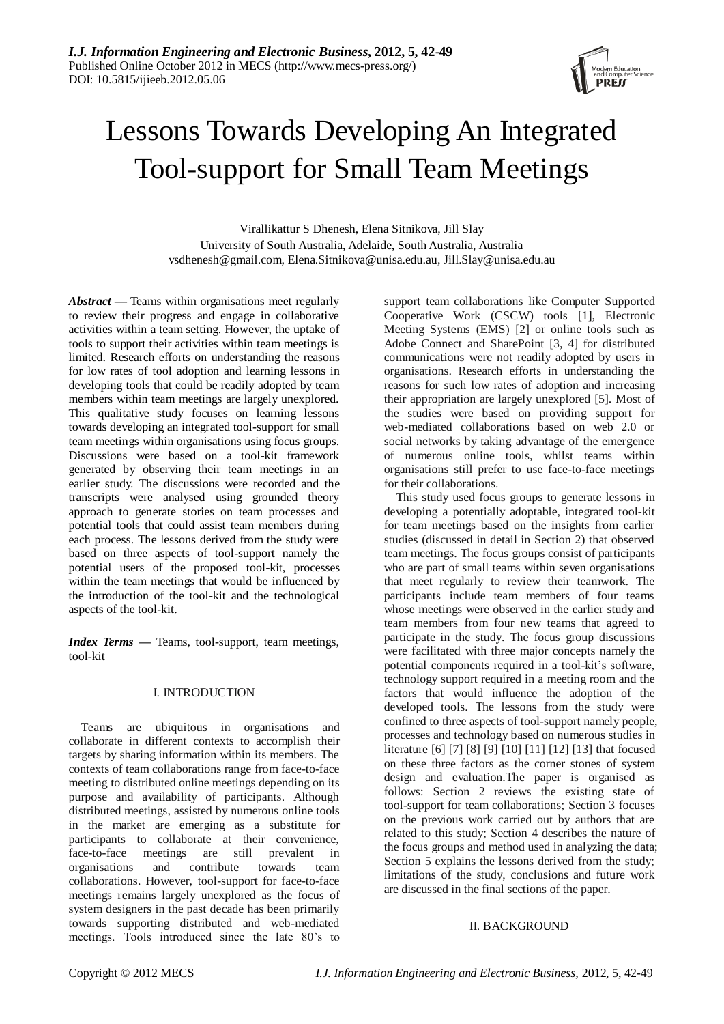

# Lessons Towards Developing An Integrated Tool-support for Small Team Meetings

Virallikattur S Dhenesh, Elena Sitnikova, Jill Slay University of South Australia, Adelaide, South Australia, Australia vsdhenesh@gmail.com*,* Elena.Sitnikova@unisa.edu.au*,* Jill.Slay@unisa.edu.au

*Abstract —* Teams within organisations meet regularly to review their progress and engage in collaborative activities within a team setting. However, the uptake of tools to support their activities within team meetings is limited. Research efforts on understanding the reasons for low rates of tool adoption and learning lessons in developing tools that could be readily adopted by team members within team meetings are largely unexplored. This qualitative study focuses on learning lessons towards developing an integrated tool-support for small team meetings within organisations using focus groups. Discussions were based on a tool-kit framework generated by observing their team meetings in an earlier study. The discussions were recorded and the transcripts were analysed using grounded theory approach to generate stories on team processes and potential tools that could assist team members during each process. The lessons derived from the study were based on three aspects of tool-support namely the potential users of the proposed tool-kit, processes within the team meetings that would be influenced by the introduction of the tool-kit and the technological aspects of the tool-kit.

*Index Terms —* Teams, tool-support, team meetings, tool-kit

# I. INTRODUCTION

Teams are ubiquitous in organisations and collaborate in different contexts to accomplish their targets by sharing information within its members. The contexts of team collaborations range from face-to-face meeting to distributed online meetings depending on its purpose and availability of participants. Although distributed meetings, assisted by numerous online tools in the market are emerging as a substitute for participants to collaborate at their convenience, face-to-face meetings are still prevalent in organisations and contribute towards team collaborations. However, tool-support for face-to-face meetings remains largely unexplored as the focus of system designers in the past decade has been primarily towards supporting distributed and web-mediated meetings. Tools introduced since the late 80"s to

support team collaborations like Computer Supported Cooperative Work (CSCW) tools [\[1\]](#page-6-0), Electronic Meeting Systems (EMS) [\[2\]](#page-6-1) or online tools such as Adobe Connect and SharePoint [\[3,](#page-6-2) [4\]](#page-6-3) for distributed communications were not readily adopted by users in organisations. Research efforts in understanding the reasons for such low rates of adoption and increasing their appropriation are largely unexplored [\[5\]](#page-6-4). Most of the studies were based on providing support for web-mediated collaborations based on web 2.0 or social networks by taking advantage of the emergence of numerous online tools, whilst teams within organisations still prefer to use face-to-face meetings for their collaborations.

This study used focus groups to generate lessons in developing a potentially adoptable, integrated tool-kit for team meetings based on the insights from earlier studies (discussed in detail in Section 2) that observed team meetings. The focus groups consist of participants who are part of small teams within seven organisations that meet regularly to review their teamwork. The participants include team members of four teams whose meetings were observed in the earlier study and team members from four new teams that agreed to participate in the study. The focus group discussions were facilitated with three major concepts namely the potential components required in a tool-kit"s software, technology support required in a meeting room and the factors that would influence the adoption of the developed tools. The lessons from the study were confined to three aspects of tool-support namely people, processes and technology based on numerous studies in literature [\[6\]](#page-6-5) [\[7\]](#page-6-6) [\[8\]](#page-6-7) [\[9\]](#page-6-8) [\[10\]](#page-6-9) [\[11\]](#page-6-10) [\[12\]](#page-6-11) [\[13\]](#page-6-12) that focused on these three factors as the corner stones of system design and evaluation.The paper is organised as follows: Section 2 reviews the existing state of tool-support for team collaborations; Section 3 focuses on the previous work carried out by authors that are related to this study; Section 4 describes the nature of the focus groups and method used in analyzing the data; Section 5 explains the lessons derived from the study; limitations of the study, conclusions and future work are discussed in the final sections of the paper.

# II. BACKGROUND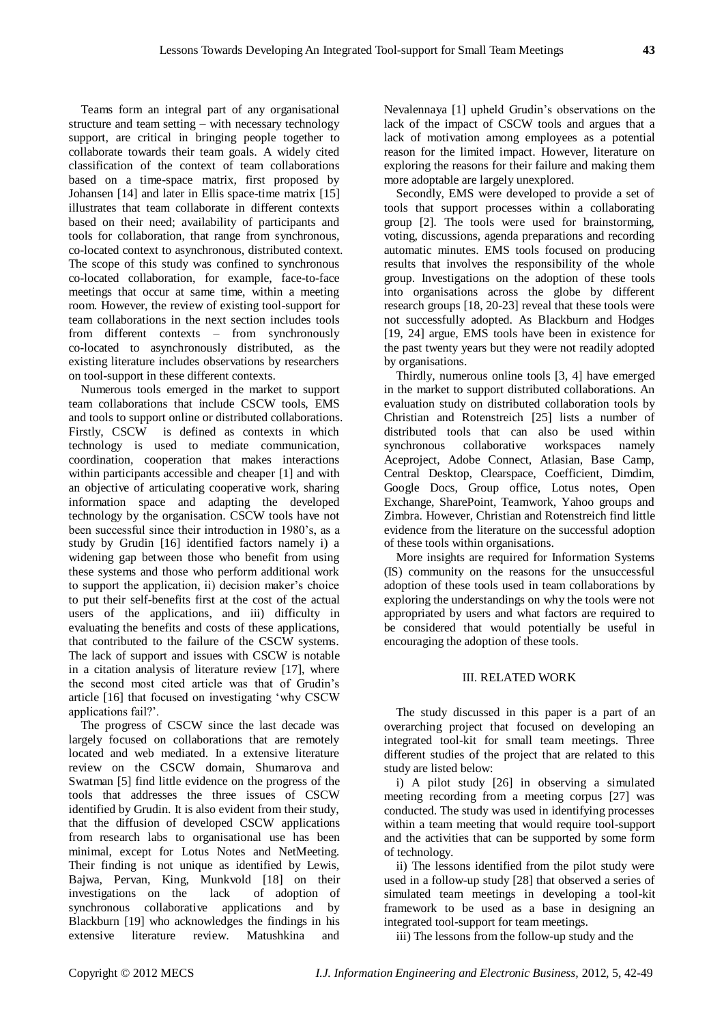Teams form an integral part of any organisational structure and team setting – with necessary technology support, are critical in bringing people together to collaborate towards their team goals. A widely cited classification of the context of team collaborations based on a time-space matrix, first proposed by Johansen [\[14\]](#page-6-13) and later in Ellis space-time matrix [\[15\]](#page-6-14) illustrates that team collaborate in different contexts based on their need; availability of participants and tools for collaboration, that range from synchronous, co-located context to asynchronous, distributed context. The scope of this study was confined to synchronous co-located collaboration, for example, face-to-face meetings that occur at same time, within a meeting room. However, the review of existing tool-support for team collaborations in the next section includes tools from different contexts – from synchronously co-located to asynchronously distributed, as the existing literature includes observations by researchers on tool-support in these different contexts.

Numerous tools emerged in the market to support team collaborations that include CSCW tools, EMS and tools to support online or distributed collaborations. Firstly, CSCW is defined as contexts in which technology is used to mediate communication, coordination, cooperation that makes interactions within participants accessible and cheaper [\[1\]](#page-6-0) and with an objective of articulating cooperative work, sharing information space and adapting the developed technology by the organisation. CSCW tools have not been successful since their introduction in 1980's, as a study by Grudin [\[16\]](#page-6-15) identified factors namely i) a widening gap between those who benefit from using these systems and those who perform additional work to support the application, ii) decision maker"s choice to put their self-benefits first at the cost of the actual users of the applications, and iii) difficulty in evaluating the benefits and costs of these applications, that contributed to the failure of the CSCW systems. The lack of support and issues with CSCW is notable in a citation analysis of literature review [\[17\]](#page-6-16), where the second most cited article was that of Grudin"s article [\[16\]](#page-6-15) that focused on investigating "why CSCW applications fail?".

The progress of CSCW since the last decade was largely focused on collaborations that are remotely located and web mediated. In a extensive literature review on the CSCW domain, Shumarova and Swatman [\[5\]](#page-6-4) find little evidence on the progress of the tools that addresses the three issues of CSCW identified by Grudin. It is also evident from their study, that the diffusion of developed CSCW applications from research labs to organisational use has been minimal, except for Lotus Notes and NetMeeting. Their finding is not unique as identified by Lewis, Bajwa, Pervan, King, Munkvold [\[18\]](#page-6-17) on their investigations on the lack of adoption of synchronous collaborative applications and by Blackburn [19] who acknowledges the findings in his extensive literature review. Matushkina and

Nevalennaya [\[1\]](#page-6-0) upheld Grudin"s observations on the lack of the impact of CSCW tools and argues that a lack of motivation among employees as a potential reason for the limited impact. However, literature on exploring the reasons for their failure and making them more adoptable are largely unexplored.

Secondly, EMS were developed to provide a set of tools that support processes within a collaborating group [\[2\]](#page-6-1). The tools were used for brainstorming, voting, discussions, agenda preparations and recording automatic minutes. EMS tools focused on producing results that involves the responsibility of the whole group. Investigations on the adoption of these tools into organisations across the globe by different research groups [\[18,](#page-6-17) [20-23\]](#page-7-0) reveal that these tools were not successfully adopted. As Blackburn and Hodges [19, [24\]](#page-7-1) argue, EMS tools have been in existence for the past twenty years but they were not readily adopted by organisations.

Thirdly, numerous online tools [\[3,](#page-6-2) [4\]](#page-6-3) have emerged in the market to support distributed collaborations. An evaluation study on distributed collaboration tools by Christian and Rotenstreich [\[25\]](#page-7-2) lists a number of distributed tools that can also be used within synchronous collaborative workspaces namely Aceproject, Adobe Connect, Atlasian, Base Camp, Central Desktop, Clearspace, Coefficient, Dimdim, Google Docs, Group office, Lotus notes, Open Exchange, SharePoint, Teamwork, Yahoo groups and Zimbra. However, Christian and Rotenstreich find little evidence from the literature on the successful adoption of these tools within organisations.

More insights are required for Information Systems (IS) community on the reasons for the unsuccessful adoption of these tools used in team collaborations by exploring the understandings on why the tools were not appropriated by users and what factors are required to be considered that would potentially be useful in encouraging the adoption of these tools.

#### III. RELATED WORK

The study discussed in this paper is a part of an overarching project that focused on developing an integrated tool-kit for small team meetings. Three different studies of the project that are related to this study are listed below:

i) A pilot study [\[26\]](#page-7-3) in observing a simulated meeting recording from a meeting corpus [\[27\]](#page-7-4) was conducted. The study was used in identifying processes within a team meeting that would require tool-support and the activities that can be supported by some form of technology.

ii) The lessons identified from the pilot study were used in a follow-up study [\[28\]](#page-7-5) that observed a series of simulated team meetings in developing a tool-kit framework to be used as a base in designing an integrated tool-support for team meetings.

iii) The lessons from the follow-up study and the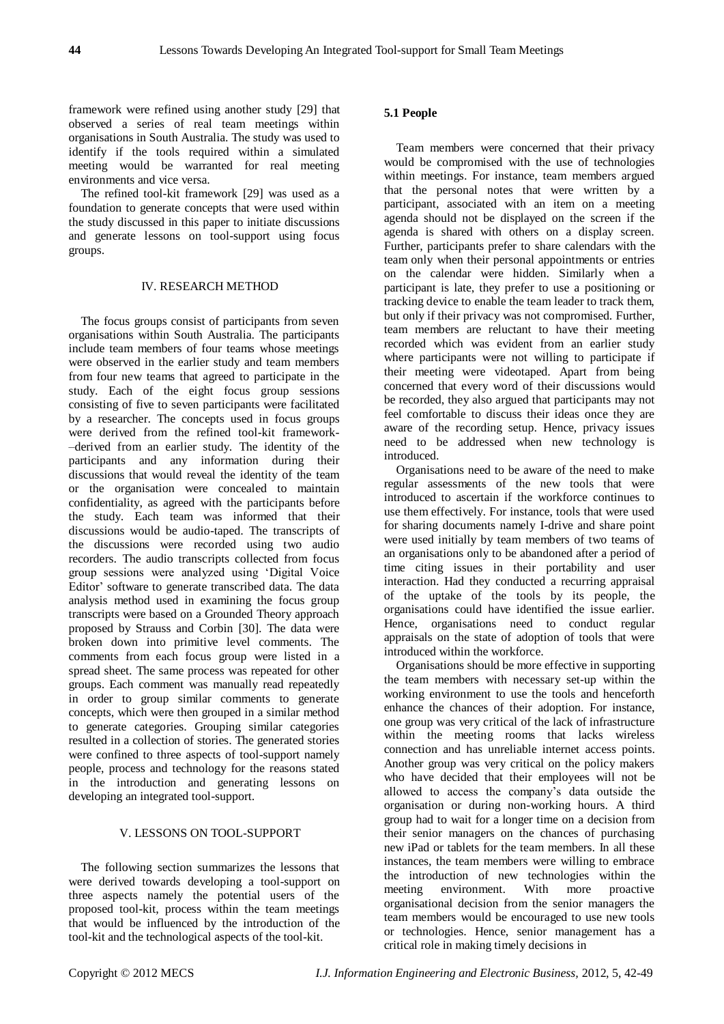framework were refined using another study [\[29\]](#page-7-6) that observed a series of real team meetings within organisations in South Australia. The study was used to identify if the tools required within a simulated meeting would be warranted for real meeting environments and vice versa.

The refined tool-kit framework [\[29\]](#page-7-6) was used as a foundation to generate concepts that were used within the study discussed in this paper to initiate discussions and generate lessons on tool-support using focus groups.

#### IV. RESEARCH METHOD

The focus groups consist of participants from seven organisations within South Australia. The participants include team members of four teams whose meetings were observed in the earlier study and team members from four new teams that agreed to participate in the study. Each of the eight focus group sessions consisting of five to seven participants were facilitated by a researcher. The concepts used in focus groups were derived from the refined tool-kit framework- –derived from an earlier study. The identity of the participants and any information during their discussions that would reveal the identity of the team or the organisation were concealed to maintain confidentiality, as agreed with the participants before the study. Each team was informed that their discussions would be audio-taped. The transcripts of the discussions were recorded using two audio recorders. The audio transcripts collected from focus group sessions were analyzed using "Digital Voice Editor' software to generate transcribed data. The data analysis method used in examining the focus group transcripts were based on a Grounded Theory approach proposed by Strauss and Corbin [\[30\]](#page-7-7). The data were broken down into primitive level comments. The comments from each focus group were listed in a spread sheet. The same process was repeated for other groups. Each comment was manually read repeatedly in order to group similar comments to generate concepts, which were then grouped in a similar method to generate categories. Grouping similar categories resulted in a collection of stories. The generated stories were confined to three aspects of tool-support namely people, process and technology for the reasons stated in the introduction and generating lessons on developing an integrated tool-support.

#### V. LESSONS ON TOOL-SUPPORT

The following section summarizes the lessons that were derived towards developing a tool-support on three aspects namely the potential users of the proposed tool-kit, process within the team meetings that would be influenced by the introduction of the tool-kit and the technological aspects of the tool-kit.

# **5.1 People**

Team members were concerned that their privacy would be compromised with the use of technologies within meetings. For instance, team members argued that the personal notes that were written by a participant, associated with an item on a meeting agenda should not be displayed on the screen if the agenda is shared with others on a display screen. Further, participants prefer to share calendars with the team only when their personal appointments or entries on the calendar were hidden. Similarly when a participant is late, they prefer to use a positioning or tracking device to enable the team leader to track them, but only if their privacy was not compromised. Further, team members are reluctant to have their meeting recorded which was evident from an earlier study where participants were not willing to participate if their meeting were videotaped. Apart from being concerned that every word of their discussions would be recorded, they also argued that participants may not feel comfortable to discuss their ideas once they are aware of the recording setup. Hence, privacy issues need to be addressed when new technology is introduced.

Organisations need to be aware of the need to make regular assessments of the new tools that were introduced to ascertain if the workforce continues to use them effectively. For instance, tools that were used for sharing documents namely I-drive and share point were used initially by team members of two teams of an organisations only to be abandoned after a period of time citing issues in their portability and user interaction. Had they conducted a recurring appraisal of the uptake of the tools by its people, the organisations could have identified the issue earlier. Hence, organisations need to conduct regular appraisals on the state of adoption of tools that were introduced within the workforce.

Organisations should be more effective in supporting the team members with necessary set-up within the working environment to use the tools and henceforth enhance the chances of their adoption. For instance, one group was very critical of the lack of infrastructure within the meeting rooms that lacks wireless connection and has unreliable internet access points. Another group was very critical on the policy makers who have decided that their employees will not be allowed to access the company"s data outside the organisation or during non-working hours. A third group had to wait for a longer time on a decision from their senior managers on the chances of purchasing new iPad or tablets for the team members. In all these instances, the team members were willing to embrace the introduction of new technologies within the meeting environment. With more proactive organisational decision from the senior managers the team members would be encouraged to use new tools or technologies. Hence, senior management has a critical role in making timely decisions in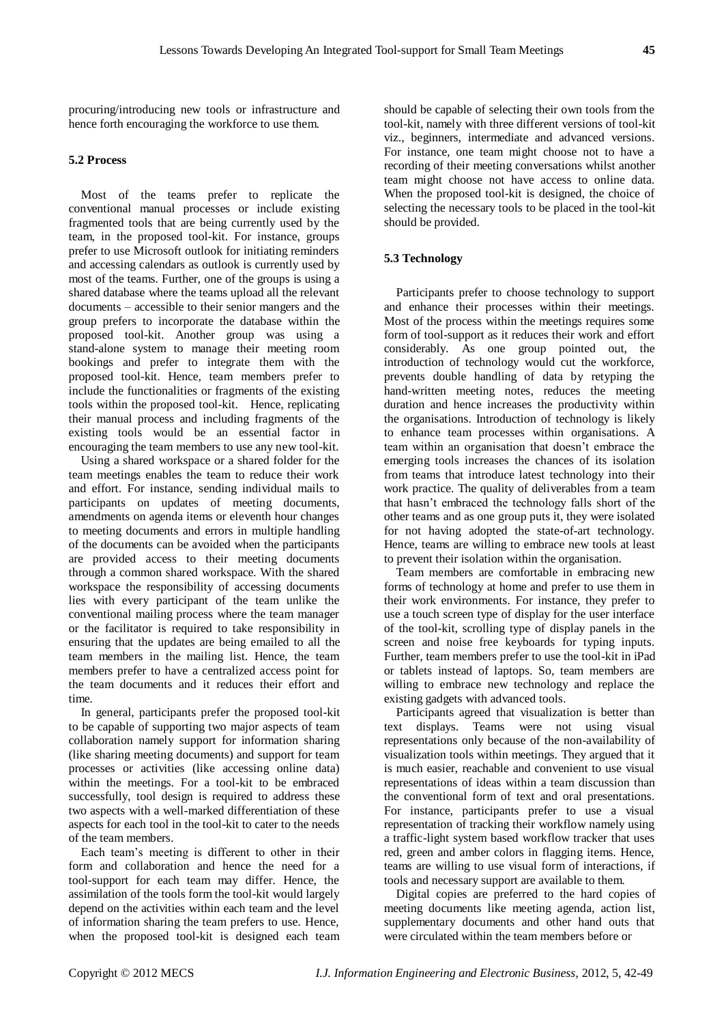procuring/introducing new tools or infrastructure and hence forth encouraging the workforce to use them.

# **5.2 Process**

Most of the teams prefer to replicate the conventional manual processes or include existing fragmented tools that are being currently used by the team, in the proposed tool-kit. For instance, groups prefer to use Microsoft outlook for initiating reminders and accessing calendars as outlook is currently used by most of the teams. Further, one of the groups is using a shared database where the teams upload all the relevant documents – accessible to their senior mangers and the group prefers to incorporate the database within the proposed tool-kit. Another group was using a stand-alone system to manage their meeting room bookings and prefer to integrate them with the proposed tool-kit. Hence, team members prefer to include the functionalities or fragments of the existing tools within the proposed tool-kit. Hence, replicating their manual process and including fragments of the existing tools would be an essential factor in encouraging the team members to use any new tool-kit.

Using a shared workspace or a shared folder for the team meetings enables the team to reduce their work and effort. For instance, sending individual mails to participants on updates of meeting documents, amendments on agenda items or eleventh hour changes to meeting documents and errors in multiple handling of the documents can be avoided when the participants are provided access to their meeting documents through a common shared workspace. With the shared workspace the responsibility of accessing documents lies with every participant of the team unlike the conventional mailing process where the team manager or the facilitator is required to take responsibility in ensuring that the updates are being emailed to all the team members in the mailing list. Hence, the team members prefer to have a centralized access point for the team documents and it reduces their effort and time.

In general, participants prefer the proposed tool-kit to be capable of supporting two major aspects of team collaboration namely support for information sharing (like sharing meeting documents) and support for team processes or activities (like accessing online data) within the meetings. For a tool-kit to be embraced successfully, tool design is required to address these two aspects with a well-marked differentiation of these aspects for each tool in the tool-kit to cater to the needs of the team members.

Each team"s meeting is different to other in their form and collaboration and hence the need for a tool-support for each team may differ. Hence, the assimilation of the tools form the tool-kit would largely depend on the activities within each team and the level of information sharing the team prefers to use. Hence, when the proposed tool-kit is designed each team

should be capable of selecting their own tools from the tool-kit, namely with three different versions of tool-kit viz., beginners, intermediate and advanced versions. For instance, one team might choose not to have a recording of their meeting conversations whilst another team might choose not have access to online data. When the proposed tool-kit is designed, the choice of selecting the necessary tools to be placed in the tool-kit should be provided.

# **5.3 Technology**

Participants prefer to choose technology to support and enhance their processes within their meetings. Most of the process within the meetings requires some form of tool-support as it reduces their work and effort considerably. As one group pointed out, the introduction of technology would cut the workforce, prevents double handling of data by retyping the hand-written meeting notes, reduces the meeting duration and hence increases the productivity within the organisations. Introduction of technology is likely to enhance team processes within organisations. A team within an organisation that doesn"t embrace the emerging tools increases the chances of its isolation from teams that introduce latest technology into their work practice. The quality of deliverables from a team that hasn"t embraced the technology falls short of the other teams and as one group puts it, they were isolated for not having adopted the state-of-art technology. Hence, teams are willing to embrace new tools at least to prevent their isolation within the organisation.

Team members are comfortable in embracing new forms of technology at home and prefer to use them in their work environments. For instance, they prefer to use a touch screen type of display for the user interface of the tool-kit, scrolling type of display panels in the screen and noise free keyboards for typing inputs. Further, team members prefer to use the tool-kit in iPad or tablets instead of laptops. So, team members are willing to embrace new technology and replace the existing gadgets with advanced tools.

Participants agreed that visualization is better than text displays. Teams were not using visual representations only because of the non-availability of visualization tools within meetings. They argued that it is much easier, reachable and convenient to use visual representations of ideas within a team discussion than the conventional form of text and oral presentations. For instance, participants prefer to use a visual representation of tracking their workflow namely using a traffic-light system based workflow tracker that uses red, green and amber colors in flagging items. Hence, teams are willing to use visual form of interactions, if tools and necessary support are available to them.

Digital copies are preferred to the hard copies of meeting documents like meeting agenda, action list, supplementary documents and other hand outs that were circulated within the team members before or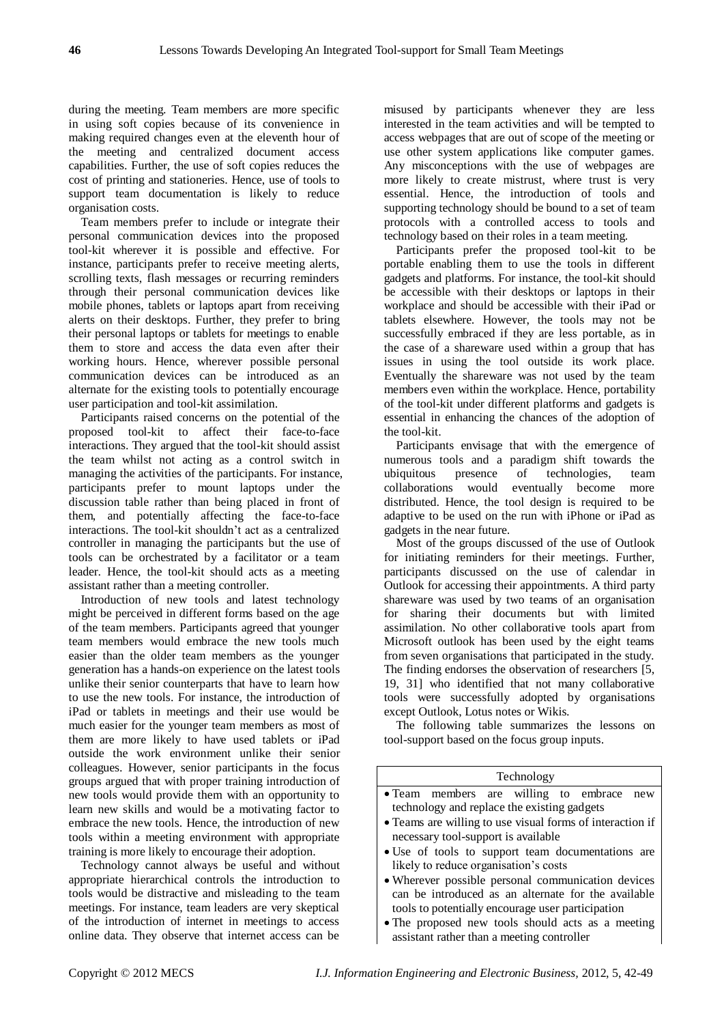during the meeting. Team members are more specific in using soft copies because of its convenience in making required changes even at the eleventh hour of the meeting and centralized document access capabilities. Further, the use of soft copies reduces the cost of printing and stationeries. Hence, use of tools to support team documentation is likely to reduce organisation costs.

Team members prefer to include or integrate their personal communication devices into the proposed tool-kit wherever it is possible and effective. For instance, participants prefer to receive meeting alerts, scrolling texts, flash messages or recurring reminders through their personal communication devices like mobile phones, tablets or laptops apart from receiving alerts on their desktops. Further, they prefer to bring their personal laptops or tablets for meetings to enable them to store and access the data even after their working hours. Hence, wherever possible personal communication devices can be introduced as an alternate for the existing tools to potentially encourage user participation and tool-kit assimilation.

Participants raised concerns on the potential of the proposed tool-kit to affect their face-to-face interactions. They argued that the tool-kit should assist the team whilst not acting as a control switch in managing the activities of the participants. For instance, participants prefer to mount laptops under the discussion table rather than being placed in front of them, and potentially affecting the face-to-face interactions. The tool-kit shouldn"t act as a centralized controller in managing the participants but the use of tools can be orchestrated by a facilitator or a team leader. Hence, the tool-kit should acts as a meeting assistant rather than a meeting controller.

Introduction of new tools and latest technology might be perceived in different forms based on the age of the team members. Participants agreed that younger team members would embrace the new tools much easier than the older team members as the younger generation has a hands-on experience on the latest tools unlike their senior counterparts that have to learn how to use the new tools. For instance, the introduction of iPad or tablets in meetings and their use would be much easier for the younger team members as most of them are more likely to have used tablets or iPad outside the work environment unlike their senior colleagues. However, senior participants in the focus groups argued that with proper training introduction of new tools would provide them with an opportunity to learn new skills and would be a motivating factor to embrace the new tools. Hence, the introduction of new tools within a meeting environment with appropriate training is more likely to encourage their adoption.

Technology cannot always be useful and without appropriate hierarchical controls the introduction to tools would be distractive and misleading to the team meetings. For instance, team leaders are very skeptical of the introduction of internet in meetings to access online data. They observe that internet access can be

misused by participants whenever they are less interested in the team activities and will be tempted to access webpages that are out of scope of the meeting or use other system applications like computer games. Any misconceptions with the use of webpages are more likely to create mistrust, where trust is very essential. Hence, the introduction of tools and supporting technology should be bound to a set of team protocols with a controlled access to tools and technology based on their roles in a team meeting.

Participants prefer the proposed tool-kit to be portable enabling them to use the tools in different gadgets and platforms. For instance, the tool-kit should be accessible with their desktops or laptops in their workplace and should be accessible with their iPad or tablets elsewhere. However, the tools may not be successfully embraced if they are less portable, as in the case of a shareware used within a group that has issues in using the tool outside its work place. Eventually the shareware was not used by the team members even within the workplace. Hence, portability of the tool-kit under different platforms and gadgets is essential in enhancing the chances of the adoption of the tool-kit.

Participants envisage that with the emergence of numerous tools and a paradigm shift towards the ubiquitous presence of technologies, team collaborations would eventually become more distributed. Hence, the tool design is required to be adaptive to be used on the run with iPhone or iPad as gadgets in the near future.

Most of the groups discussed of the use of Outlook for initiating reminders for their meetings. Further, participants discussed on the use of calendar in Outlook for accessing their appointments. A third party shareware was used by two teams of an organisation for sharing their documents but with limited assimilation. No other collaborative tools apart from Microsoft outlook has been used by the eight teams from seven organisations that participated in the study. The finding endorses the observation of researchers [\[5,](#page-6-4) 19, [31\]](#page-7-8) who identified that not many collaborative tools were successfully adopted by organisations except Outlook, Lotus notes or Wikis.

The following table summarizes the lessons on tool-support based on the focus group inputs.

#### Technology

- Team members are willing to embrace new technology and replace the existing gadgets
- Teams are willing to use visual forms of interaction if necessary tool-support is available
- Use of tools to support team documentations are likely to reduce organisation's costs
- Wherever possible personal communication devices can be introduced as an alternate for the available tools to potentially encourage user participation
- The proposed new tools should acts as a meeting assistant rather than a meeting controller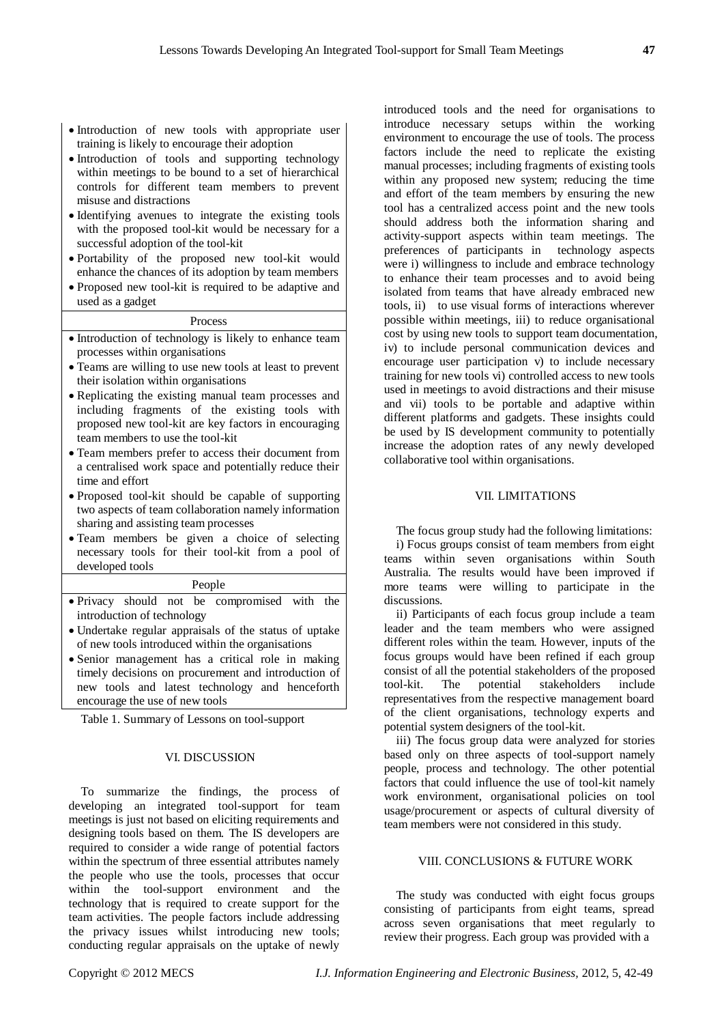- Introduction of new tools with appropriate user training is likely to encourage their adoption
- Introduction of tools and supporting technology within meetings to be bound to a set of hierarchical controls for different team members to prevent misuse and distractions
- Identifying avenues to integrate the existing tools with the proposed tool-kit would be necessary for a successful adoption of the tool-kit
- Portability of the proposed new tool-kit would enhance the chances of its adoption by team members
- Proposed new tool-kit is required to be adaptive and used as a gadget

#### Process

- Introduction of technology is likely to enhance team processes within organisations
- Teams are willing to use new tools at least to prevent their isolation within organisations
- Replicating the existing manual team processes and including fragments of the existing tools with proposed new tool-kit are key factors in encouraging team members to use the tool-kit
- Team members prefer to access their document from a centralised work space and potentially reduce their time and effort
- Proposed tool-kit should be capable of supporting two aspects of team collaboration namely information sharing and assisting team processes
- Team members be given a choice of selecting necessary tools for their tool-kit from a pool of developed tools

#### People

- Privacy should not be compromised with the introduction of technology
- Undertake regular appraisals of the status of uptake of new tools introduced within the organisations
- Senior management has a critical role in making timely decisions on procurement and introduction of new tools and latest technology and henceforth encourage the use of new tools

Table 1. Summary of Lessons on tool-support

# VI. DISCUSSION

To summarize the findings, the process of developing an integrated tool-support for team meetings is just not based on eliciting requirements and designing tools based on them. The IS developers are required to consider a wide range of potential factors within the spectrum of three essential attributes namely the people who use the tools, processes that occur within the tool-support environment and the technology that is required to create support for the team activities. The people factors include addressing the privacy issues whilst introducing new tools; conducting regular appraisals on the uptake of newly

introduced tools and the need for organisations to introduce necessary setups within the working environment to encourage the use of tools. The process factors include the need to replicate the existing manual processes; including fragments of existing tools within any proposed new system; reducing the time and effort of the team members by ensuring the new tool has a centralized access point and the new tools should address both the information sharing and activity-support aspects within team meetings. The preferences of participants in technology aspects were i) willingness to include and embrace technology to enhance their team processes and to avoid being isolated from teams that have already embraced new tools, ii) to use visual forms of interactions wherever possible within meetings, iii) to reduce organisational cost by using new tools to support team documentation, iv) to include personal communication devices and encourage user participation v) to include necessary training for new tools vi) controlled access to new tools used in meetings to avoid distractions and their misuse and vii) tools to be portable and adaptive within different platforms and gadgets. These insights could be used by IS development community to potentially increase the adoption rates of any newly developed collaborative tool within organisations.

#### VII. LIMITATIONS

The focus group study had the following limitations: i) Focus groups consist of team members from eight teams within seven organisations within South Australia. The results would have been improved if more teams were willing to participate in the discussions.

ii) Participants of each focus group include a team leader and the team members who were assigned different roles within the team. However, inputs of the focus groups would have been refined if each group consist of all the potential stakeholders of the proposed<br>tool-kit. The potential stakeholders include tool-kit. The potential stakeholders representatives from the respective management board of the client organisations, technology experts and potential system designers of the tool-kit.

iii) The focus group data were analyzed for stories based only on three aspects of tool-support namely people, process and technology. The other potential factors that could influence the use of tool-kit namely work environment, organisational policies on tool usage/procurement or aspects of cultural diversity of team members were not considered in this study.

# VIII. CONCLUSIONS & FUTURE WORK

The study was conducted with eight focus groups consisting of participants from eight teams, spread across seven organisations that meet regularly to review their progress. Each group was provided with a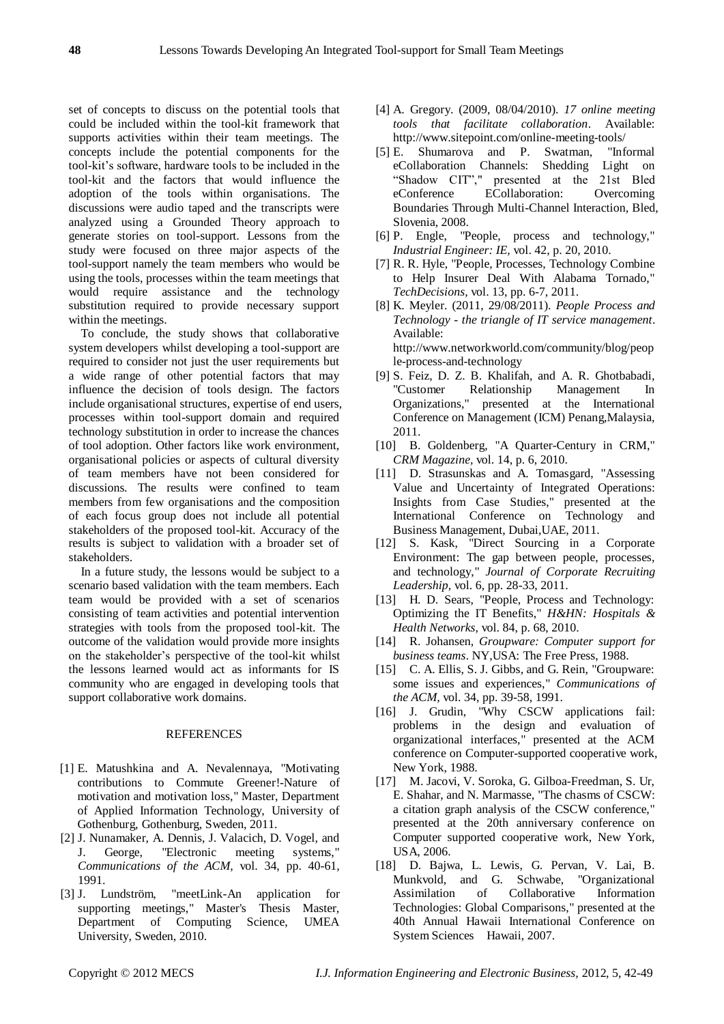set of concepts to discuss on the potential tools that could be included within the tool-kit framework that supports activities within their team meetings. The concepts include the potential components for the tool-kit"s software, hardware tools to be included in the tool-kit and the factors that would influence the adoption of the tools within organisations. The discussions were audio taped and the transcripts were analyzed using a Grounded Theory approach to generate stories on tool-support. Lessons from the study were focused on three major aspects of the tool-support namely the team members who would be using the tools, processes within the team meetings that would require assistance and the technology substitution required to provide necessary support within the meetings.

To conclude, the study shows that collaborative system developers whilst developing a tool-support are required to consider not just the user requirements but a wide range of other potential factors that may influence the decision of tools design. The factors include organisational structures, expertise of end users, processes within tool-support domain and required technology substitution in order to increase the chances of tool adoption. Other factors like work environment, organisational policies or aspects of cultural diversity of team members have not been considered for discussions. The results were confined to team members from few organisations and the composition of each focus group does not include all potential stakeholders of the proposed tool-kit. Accuracy of the results is subject to validation with a broader set of stakeholders.

In a future study, the lessons would be subject to a scenario based validation with the team members. Each team would be provided with a set of scenarios consisting of team activities and potential intervention strategies with tools from the proposed tool-kit. The outcome of the validation would provide more insights on the stakeholder"s perspective of the tool-kit whilst the lessons learned would act as informants for IS community who are engaged in developing tools that support collaborative work domains.

#### **REFERENCES**

- <span id="page-6-0"></span>[1] E. Matushkina and A. Nevalennaya, "Motivating contributions to Commute Greener!-Nature of motivation and motivation loss," Master, Department of Applied Information Technology, University of Gothenburg, Gothenburg, Sweden, 2011.
- <span id="page-6-1"></span>[2] J. Nunamaker, A. Dennis, J. Valacich, D. Vogel, and J. George, "Electronic meeting systems," *Communications of the ACM,* vol. 34, pp. 40-61, 1991.
- <span id="page-6-2"></span>[3] J. Lundström, "meetLink-An application for supporting meetings," Master's Thesis Master, Department of Computing Science, UMEA University, Sweden, 2010.
- <span id="page-6-3"></span>[4] A. Gregory. (2009, 08/04/2010). *17 online meeting tools that facilitate collaboration*. Available: <http://www.sitepoint.com/online-meeting-tools/>
- <span id="page-6-4"></span>[5] E. Shumarova and P. Swatman, "Informal eCollaboration Channels: Shedding Light on "Shadow CIT"," presented at the 21st Bled eConference ECollaboration: Overcoming Boundaries Through Multi-Channel Interaction, Bled, Slovenia, 2008.
- <span id="page-6-5"></span>[6] P. Engle, "People, process and technology," *Industrial Engineer: IE,* vol. 42, p. 20, 2010.
- <span id="page-6-6"></span>[7] R. R. Hyle, "People, Processes, Technology Combine to Help Insurer Deal With Alabama Tornado," *TechDecisions,* vol. 13, pp. 6-7, 2011.
- <span id="page-6-7"></span>[8] K. Meyler. (2011, 29/08/2011). *People Process and Technology - the triangle of IT service management*. Available: [http://www.networkworld.com/community/blog/peop](http://www.networkworld.com/community/blog/people-process-and-technology) [le-process-and-technology](http://www.networkworld.com/community/blog/people-process-and-technology)
- <span id="page-6-8"></span>[9] S. Feiz, D. Z. B. Khalifah, and A. R. Ghotbabadi, "Customer Relationship Management In Organizations," presented at the International Conference on Management (ICM) Penang,Malaysia, 2011.
- <span id="page-6-9"></span>[10] B. Goldenberg, "A Quarter-Century in CRM," *CRM Magazine,* vol. 14, p. 6, 2010.
- <span id="page-6-10"></span>[11] D. Strasunskas and A. Tomasgard, "Assessing Value and Uncertainty of Integrated Operations: Insights from Case Studies," presented at the International Conference on Technology and Business Management, Dubai,UAE, 2011.
- <span id="page-6-11"></span>[12] S. Kask, "Direct Sourcing in a Corporate Environment: The gap between people, processes, and technology," *Journal of Corporate Recruiting Leadership,* vol. 6, pp. 28-33, 2011.
- <span id="page-6-12"></span>[13] H. D. Sears, "People, Process and Technology: Optimizing the IT Benefits," *H&HN: Hospitals & Health Networks,* vol. 84, p. 68, 2010.
- <span id="page-6-13"></span>[14] R. Johansen, *Groupware: Computer support for business teams*. NY,USA: The Free Press, 1988.
- <span id="page-6-14"></span>[15] C. A. Ellis, S. J. Gibbs, and G. Rein, "Groupware: some issues and experiences," *Communications of the ACM,* vol. 34, pp. 39-58, 1991.
- <span id="page-6-15"></span>[16] J. Grudin, "Why CSCW applications fail: problems in the design and evaluation of organizational interfaces," presented at the ACM conference on Computer-supported cooperative work, New York, 1988.
- <span id="page-6-16"></span>[17] M. Jacovi, V. Soroka, G. Gilboa-Freedman, S. Ur, E. Shahar, and N. Marmasse, "The chasms of CSCW: a citation graph analysis of the CSCW conference," presented at the 20th anniversary conference on Computer supported cooperative work, New York, USA, 2006.
- <span id="page-6-17"></span>[18] D. Bajwa, L. Lewis, G. Pervan, V. Lai, B. Munkvold, and G. Schwabe, "Organizational Assimilation of Collaborative Information Technologies: Global Comparisons," presented at the 40th Annual Hawaii International Conference on System Sciences Hawaii, 2007.